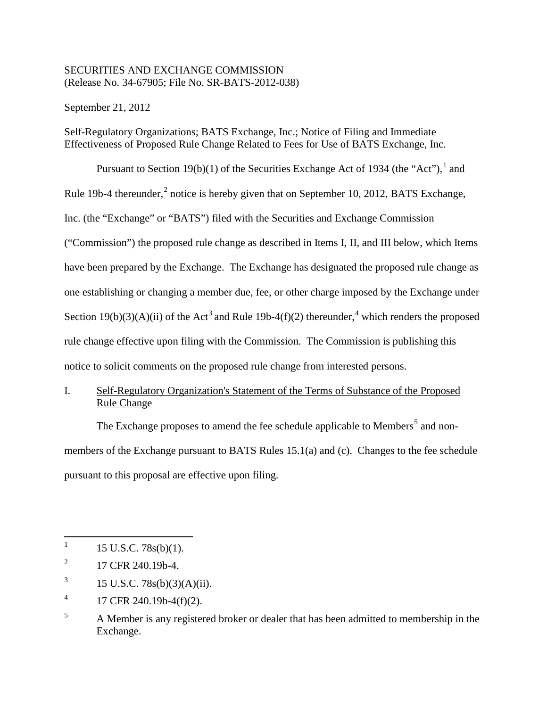### SECURITIES AND EXCHANGE COMMISSION (Release No. 34-67905; File No. SR-BATS-2012-038)

September 21, 2012

Self-Regulatory Organizations; BATS Exchange, Inc.; Notice of Filing and Immediate Effectiveness of Proposed Rule Change Related to Fees for Use of BATS Exchange, Inc.

Pursuant to Section [1](#page-0-0)9(b)(1) of the Securities Exchange Act of 1934 (the "Act"),  $\frac{1}{1}$  and Rule 19b-4 thereunder, $<sup>2</sup>$  $<sup>2</sup>$  $<sup>2</sup>$  notice is hereby given that on September 10, 2012, BATS Exchange,</sup> Inc. (the "Exchange" or "BATS") filed with the Securities and Exchange Commission ("Commission") the proposed rule change as described in Items I, II, and III below, which Items have been prepared by the Exchange. The Exchange has designated the proposed rule change as one establishing or changing a member due, fee, or other charge imposed by the Exchange under Section 19(b)([3](#page-0-2))(A)(ii) of the Act<sup>3</sup> and Rule 19b-[4](#page-0-3)(f)(2) thereunder,<sup>4</sup> which renders the proposed rule change effective upon filing with the Commission. The Commission is publishing this notice to solicit comments on the proposed rule change from interested persons.

# I. Self-Regulatory Organization's Statement of the Terms of Substance of the Proposed Rule Change

The Exchange proposes to amend the fee schedule applicable to Members<sup>[5](#page-0-4)</sup> and nonmembers of the Exchange pursuant to BATS Rules 15.1(a) and (c). Changes to the fee schedule pursuant to this proposal are effective upon filing.

<span id="page-0-2"></span>3 15 U.S.C. 78s(b)(3)(A)(ii).

<span id="page-0-0"></span><sup>|&</sup>lt;br>|<br>| 15 U.S.C. 78s(b)(1).

<span id="page-0-1"></span><sup>2</sup> 17 CFR 240.19b-4.

<span id="page-0-3"></span><sup>4</sup> 17 CFR 240.19b-4(f)(2).

<span id="page-0-4"></span><sup>5</sup> A Member is any registered broker or dealer that has been admitted to membership in the Exchange.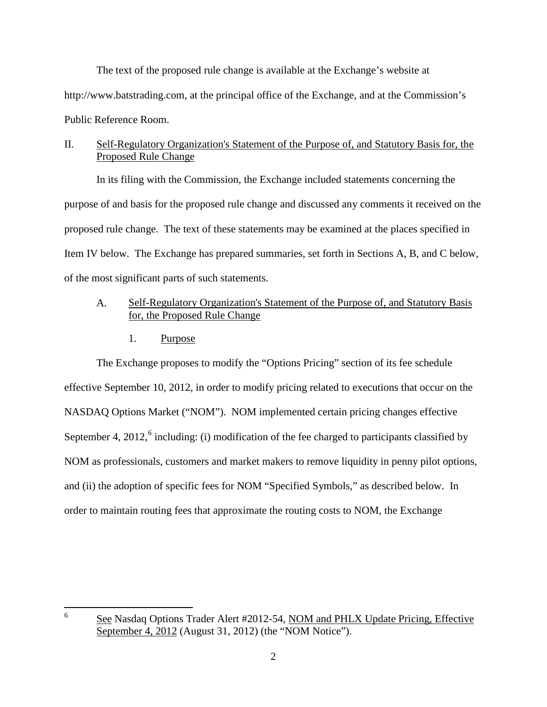The text of the proposed rule change is available at the Exchange's website at http://www.batstrading.com, at the principal office of the Exchange, and at the Commission's Public Reference Room.

## II. Self-Regulatory Organization's Statement of the Purpose of, and Statutory Basis for, the Proposed Rule Change

In its filing with the Commission, the Exchange included statements concerning the purpose of and basis for the proposed rule change and discussed any comments it received on the proposed rule change. The text of these statements may be examined at the places specified in Item IV below. The Exchange has prepared summaries, set forth in Sections A, B, and C below, of the most significant parts of such statements.

## A. Self-Regulatory Organization's Statement of the Purpose of, and Statutory Basis for, the Proposed Rule Change

1. Purpose

The Exchange proposes to modify the "Options Pricing" section of its fee schedule effective September 10, 2012, in order to modify pricing related to executions that occur on the NASDAQ Options Market ("NOM"). NOM implemented certain pricing changes effective September 4, 2012, $6$  including: (i) modification of the fee charged to participants classified by NOM as professionals, customers and market makers to remove liquidity in penny pilot options, and (ii) the adoption of specific fees for NOM "Specified Symbols," as described below. In order to maintain routing fees that approximate the routing costs to NOM, the Exchange

<span id="page-1-0"></span> 6 See Nasdaq Options Trader Alert #2012-54, NOM and PHLX Update Pricing, Effective September 4, 2012 (August 31, 2012) (the "NOM Notice").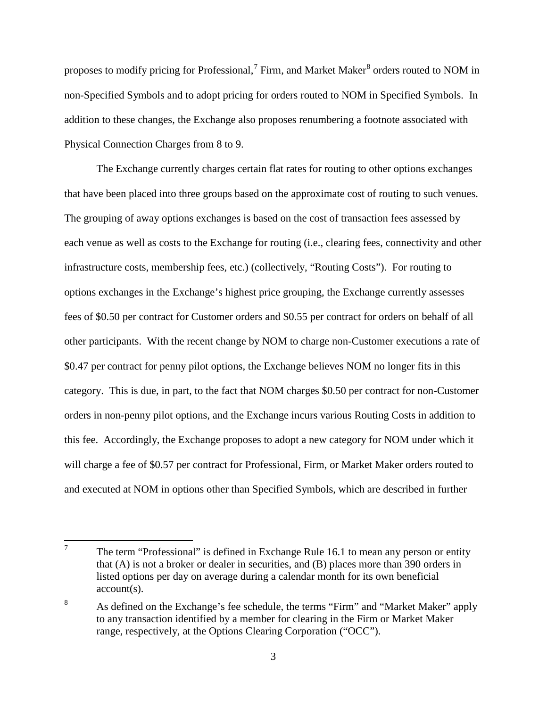proposes to modify pricing for Professional,  $^7$  $^7$  Firm, and Market Maker $^8$  $^8$  orders routed to NOM in non-Specified Symbols and to adopt pricing for orders routed to NOM in Specified Symbols. In addition to these changes, the Exchange also proposes renumbering a footnote associated with Physical Connection Charges from 8 to 9.

The Exchange currently charges certain flat rates for routing to other options exchanges that have been placed into three groups based on the approximate cost of routing to such venues. The grouping of away options exchanges is based on the cost of transaction fees assessed by each venue as well as costs to the Exchange for routing (i.e., clearing fees, connectivity and other infrastructure costs, membership fees, etc.) (collectively, "Routing Costs"). For routing to options exchanges in the Exchange's highest price grouping, the Exchange currently assesses fees of \$0.50 per contract for Customer orders and \$0.55 per contract for orders on behalf of all other participants. With the recent change by NOM to charge non-Customer executions a rate of \$0.47 per contract for penny pilot options, the Exchange believes NOM no longer fits in this category. This is due, in part, to the fact that NOM charges \$0.50 per contract for non-Customer orders in non-penny pilot options, and the Exchange incurs various Routing Costs in addition to this fee. Accordingly, the Exchange proposes to adopt a new category for NOM under which it will charge a fee of \$0.57 per contract for Professional, Firm, or Market Maker orders routed to and executed at NOM in options other than Specified Symbols, which are described in further

<span id="page-2-0"></span> 7 The term "Professional" is defined in Exchange Rule 16.1 to mean any person or entity that (A) is not a broker or dealer in securities, and (B) places more than 390 orders in listed options per day on average during a calendar month for its own beneficial account(s).

<span id="page-2-1"></span><sup>8</sup> As defined on the Exchange's fee schedule, the terms "Firm" and "Market Maker" apply to any transaction identified by a member for clearing in the Firm or Market Maker range, respectively, at the Options Clearing Corporation ("OCC").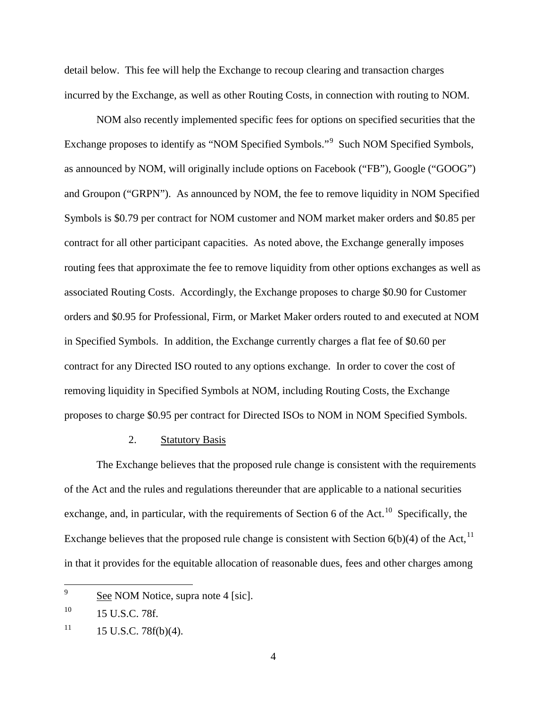detail below. This fee will help the Exchange to recoup clearing and transaction charges incurred by the Exchange, as well as other Routing Costs, in connection with routing to NOM.

NOM also recently implemented specific fees for options on specified securities that the Exchange proposes to identify as "NOM Specified Symbols."<sup>[9](#page-3-0)</sup> Such NOM Specified Symbols, as announced by NOM, will originally include options on Facebook ("FB"), Google ("GOOG") and Groupon ("GRPN"). As announced by NOM, the fee to remove liquidity in NOM Specified Symbols is \$0.79 per contract for NOM customer and NOM market maker orders and \$0.85 per contract for all other participant capacities. As noted above, the Exchange generally imposes routing fees that approximate the fee to remove liquidity from other options exchanges as well as associated Routing Costs. Accordingly, the Exchange proposes to charge \$0.90 for Customer orders and \$0.95 for Professional, Firm, or Market Maker orders routed to and executed at NOM in Specified Symbols. In addition, the Exchange currently charges a flat fee of \$0.60 per contract for any Directed ISO routed to any options exchange. In order to cover the cost of removing liquidity in Specified Symbols at NOM, including Routing Costs, the Exchange proposes to charge \$0.95 per contract for Directed ISOs to NOM in NOM Specified Symbols.

#### 2. Statutory Basis

The Exchange believes that the proposed rule change is consistent with the requirements of the Act and the rules and regulations thereunder that are applicable to a national securities exchange, and, in particular, with the requirements of Section 6 of the Act.<sup>[10](#page-3-1)</sup> Specifically, the Exchange believes that the proposed rule change is consistent with Section  $6(b)(4)$  of the Act,<sup>[11](#page-3-2)</sup> in that it provides for the equitable allocation of reasonable dues, fees and other charges among

<span id="page-3-0"></span> 9 See NOM Notice, supra note 4 [sic].

<span id="page-3-1"></span> $10$  15 U.S.C. 78f.

<span id="page-3-2"></span> $11$  15 U.S.C. 78f(b)(4).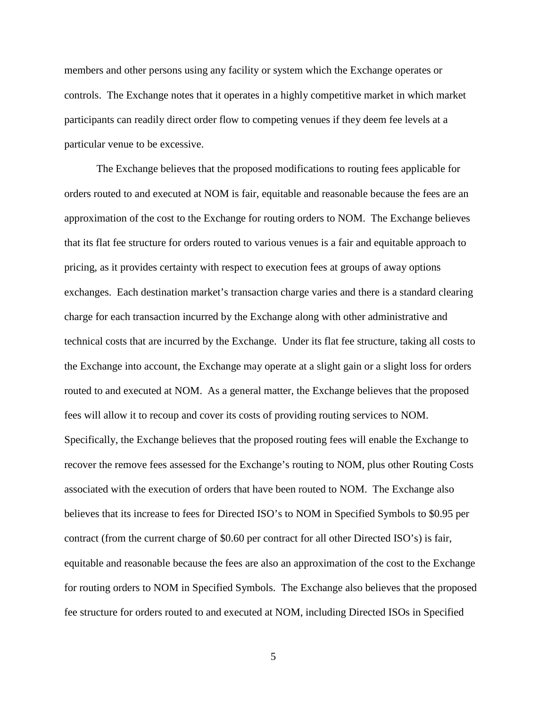members and other persons using any facility or system which the Exchange operates or controls. The Exchange notes that it operates in a highly competitive market in which market participants can readily direct order flow to competing venues if they deem fee levels at a particular venue to be excessive.

The Exchange believes that the proposed modifications to routing fees applicable for orders routed to and executed at NOM is fair, equitable and reasonable because the fees are an approximation of the cost to the Exchange for routing orders to NOM. The Exchange believes that its flat fee structure for orders routed to various venues is a fair and equitable approach to pricing, as it provides certainty with respect to execution fees at groups of away options exchanges. Each destination market's transaction charge varies and there is a standard clearing charge for each transaction incurred by the Exchange along with other administrative and technical costs that are incurred by the Exchange. Under its flat fee structure, taking all costs to the Exchange into account, the Exchange may operate at a slight gain or a slight loss for orders routed to and executed at NOM. As a general matter, the Exchange believes that the proposed fees will allow it to recoup and cover its costs of providing routing services to NOM. Specifically, the Exchange believes that the proposed routing fees will enable the Exchange to recover the remove fees assessed for the Exchange's routing to NOM, plus other Routing Costs associated with the execution of orders that have been routed to NOM. The Exchange also believes that its increase to fees for Directed ISO's to NOM in Specified Symbols to \$0.95 per contract (from the current charge of \$0.60 per contract for all other Directed ISO's) is fair, equitable and reasonable because the fees are also an approximation of the cost to the Exchange for routing orders to NOM in Specified Symbols. The Exchange also believes that the proposed fee structure for orders routed to and executed at NOM, including Directed ISOs in Specified

5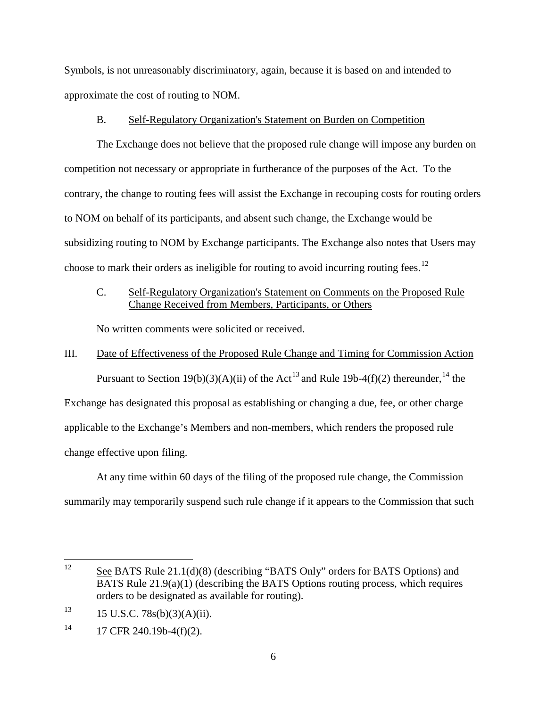Symbols, is not unreasonably discriminatory, again, because it is based on and intended to approximate the cost of routing to NOM.

#### B. Self-Regulatory Organization's Statement on Burden on Competition

The Exchange does not believe that the proposed rule change will impose any burden on competition not necessary or appropriate in furtherance of the purposes of the Act. To the contrary, the change to routing fees will assist the Exchange in recouping costs for routing orders to NOM on behalf of its participants, and absent such change, the Exchange would be subsidizing routing to NOM by Exchange participants. The Exchange also notes that Users may choose to mark their orders as ineligible for routing to avoid incurring routing fees.<sup>[12](#page-5-0)</sup>

## C. Self-Regulatory Organization's Statement on Comments on the Proposed Rule Change Received from Members, Participants, or Others

No written comments were solicited or received.

# III. Date of Effectiveness of the Proposed Rule Change and Timing for Commission Action Pursuant to Section 19(b)(3)(A)(ii) of the Act<sup>[13](#page-5-1)</sup> and Rule 19b-4(f)(2) thereunder,<sup>[14](#page-5-2)</sup> the Exchange has designated this proposal as establishing or changing a due, fee, or other charge applicable to the Exchange's Members and non-members, which renders the proposed rule change effective upon filing.

At any time within 60 days of the filing of the proposed rule change, the Commission summarily may temporarily suspend such rule change if it appears to the Commission that such

<span id="page-5-0"></span><sup>12</sup> See BATS Rule 21.1(d)(8) (describing "BATS Only" orders for BATS Options) and BATS Rule 21.9(a)(1) (describing the BATS Options routing process, which requires orders to be designated as available for routing).

<span id="page-5-1"></span> $13$  15 U.S.C. 78s(b)(3)(A)(ii).

<span id="page-5-2"></span> $14$  17 CFR 240.19b-4(f)(2).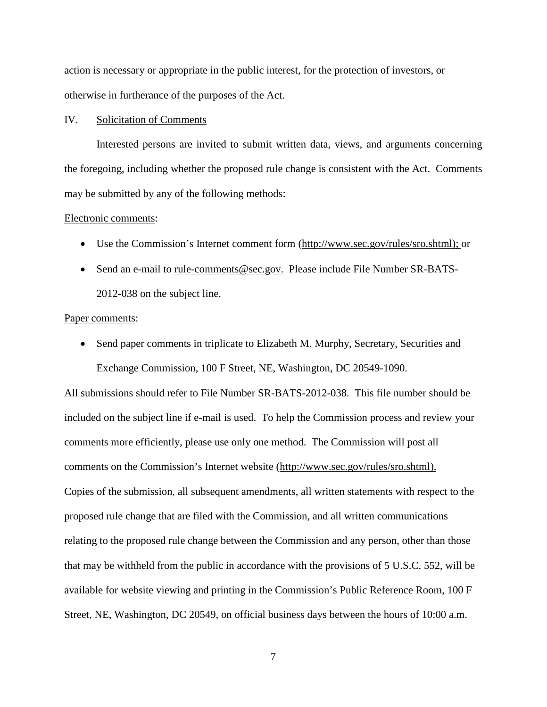action is necessary or appropriate in the public interest, for the protection of investors, or otherwise in furtherance of the purposes of the Act.

#### IV. Solicitation of Comments

Interested persons are invited to submit written data, views, and arguments concerning the foregoing, including whether the proposed rule change is consistent with the Act. Comments may be submitted by any of the following methods:

#### Electronic comments:

- Use the Commission's Internet comment form [\(http://www.sec.gov/rules/sro.shtml\)](http://www.sec.gov/rules/sro.shtml); or
- Send an e-mail to [rule-comments@sec.gov.](mailto:rule-comments@sec.gov) Please include File Number SR-BATS-2012-038 on the subject line.

#### Paper comments:

• Send paper comments in triplicate to Elizabeth M. Murphy, Secretary, Securities and Exchange Commission, 100 F Street, NE, Washington, DC 20549-1090.

All submissions should refer to File Number SR-BATS-2012-038. This file number should be included on the subject line if e-mail is used. To help the Commission process and review your comments more efficiently, please use only one method. The Commission will post all comments on the Commission's Internet website (http://www.sec.gov/rules/sro.shtml). Copies of the submission, all subsequent amendments, all written statements with respect to the proposed rule change that are filed with the Commission, and all written communications relating to the proposed rule change between the Commission and any person, other than those that may be withheld from the public in accordance with the provisions of 5 U.S.C. 552, will be available for website viewing and printing in the Commission's Public Reference Room, 100 F Street, NE, Washington, DC 20549, on official business days between the hours of 10:00 a.m.

7